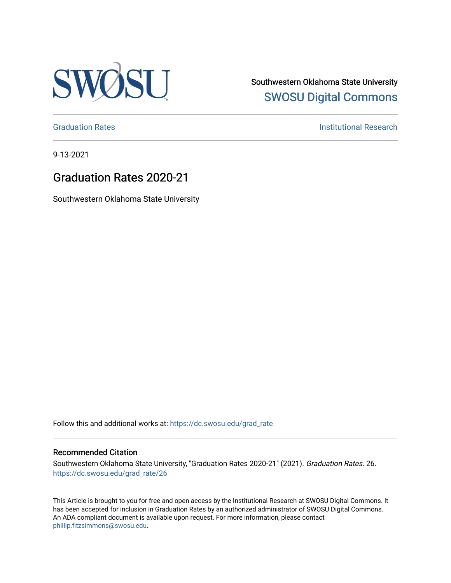

Southwestern Oklahoma State University [SWOSU Digital Commons](https://dc.swosu.edu/) 

[Graduation Rates](https://dc.swosu.edu/grad_rate) **Institutional Research Institutional Research** 

9-13-2021

## Graduation Rates 2020-21

Southwestern Oklahoma State University

Follow this and additional works at: [https://dc.swosu.edu/grad\\_rate](https://dc.swosu.edu/grad_rate?utm_source=dc.swosu.edu%2Fgrad_rate%2F26&utm_medium=PDF&utm_campaign=PDFCoverPages) 

#### Recommended Citation

Southwestern Oklahoma State University, "Graduation Rates 2020-21" (2021). Graduation Rates. 26. [https://dc.swosu.edu/grad\\_rate/26](https://dc.swosu.edu/grad_rate/26?utm_source=dc.swosu.edu%2Fgrad_rate%2F26&utm_medium=PDF&utm_campaign=PDFCoverPages)

This Article is brought to you for free and open access by the Institutional Research at SWOSU Digital Commons. It has been accepted for inclusion in Graduation Rates by an authorized administrator of SWOSU Digital Commons. An ADA compliant document is available upon request. For more information, please contact [phillip.fitzsimmons@swosu.edu](mailto:phillip.fitzsimmons@swosu.edu).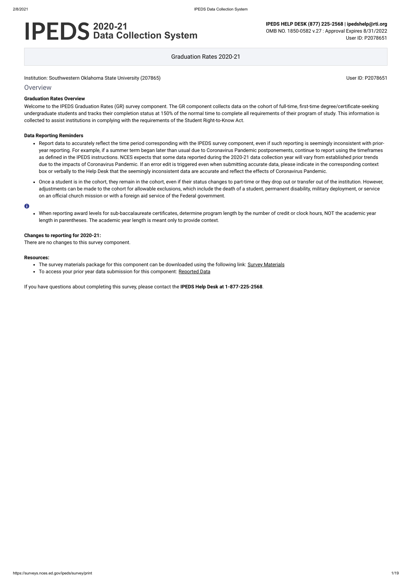# **2020-21 Data Collection System**

**IPEDS HELP DESK (877) 225-2568 | ipedshelp@rti.org** OMB NO. 1850-0582 v.27 : Approval Expires 8/31/2022 User ID: P2078651

Graduation Rates 2020-21

Institution: Southwestern Oklahoma State University (207865) Noticed that the state University (207865) User ID: P2078651

### **Overview**

#### **Graduation Rates Overview**

Welcome to the IPEDS Graduation Rates (GR) survey component. The GR component collects data on the cohort of full-time, first-time degree/certificate-seeking undergraduate students and tracks their completion status at 150% of the normal time to complete all requirements of their program of study. This information is collected to assist institutions in complying with the requirements of the Student Right-to-Know Act.

#### **Data Reporting Reminders**

- Report data to accurately reflect the time period corresponding with the IPEDS survey component, even if such reporting is seemingly inconsistent with prioryear reporting. For example, if a summer term began later than usual due to Coronavirus Pandemic postponements, continue to report using the timeframes as defined in the IPEDS instructions. NCES expects that some data reported during the 2020-21 data collection year will vary from established prior trends due to the impacts of Coronavirus Pandemic. If an error edit is triggered even when submitting accurate data, please indicate in the corresponding context box or verbally to the Help Desk that the seemingly inconsistent data are accurate and reflect the effects of Coronavirus Pandemic.
- Once a student is in the cohort, they remain in the cohort, even if their status changes to part-time or they drop out or transfer out of the institution. However, adjustments can be made to the cohort for allowable exclusions, which include the death of a student, permanent disability, military deployment, or service on an official church mission or with a foreign aid service of the Federal government.

#### $\bullet$

When reporting award levels for sub-baccalaureate certificates, determine program length by the number of credit or clock hours, NOT the academic year length in parentheses. The academic year length is meant only to provide context.

#### **Changes to reporting for 2020-21:**

There are no changes to this survey component.

#### **Resources:**

- The survey materials package for this component can be downloaded using the following link: Survey [Materials](https://surveys.nces.ed.gov/ipeds/public/survey-materials/index)
- To access your prior year data submission for this component: [Reported Data](https://surveys.nces.ed.gov/IPEDS_py/DataForms.aspx?f0e9e4efc4dfb8adabb2b3b1b0a1eef0edf1e0f4c4dfb8afa1f0eee0edc4dfb8cbadabb2b3b1b0aca1f0e9e4efc9dce8e0b8ceeaf0efe3f2e0eeefe0ede99bcae6e7dce3eae8dc9bceefdcefe09bd0e9e4f1e0edeee4eff4a1ebedeadee0eeeeb8e0f3efe0ede9dce7a1eddfefb8adaab3aaadabadac9bacadb5b0abb5b0b29bcbc8)

If you have questions about completing this survey, please contact the **IPEDS Help Desk at 1-877-225-2568**.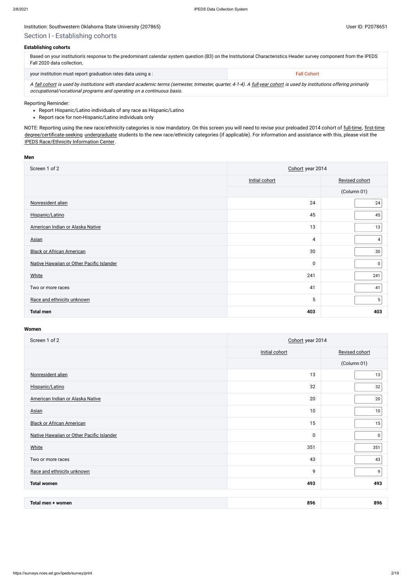## Section I - Establishing cohorts

#### **Establishing cohorts**

| Based on your institution's response to the predominant calendar system question (B3) on the Institutional Characteristics Header survey component from the IPEDS<br>Fall 2020 data collection. |                    |  |  |  |
|-------------------------------------------------------------------------------------------------------------------------------------------------------------------------------------------------|--------------------|--|--|--|
| your institution must report graduation rates data using a :                                                                                                                                    | <b>Fall Cohort</b> |  |  |  |

A [fall cohort](javascript:openglossary(219)) is used by institutions with standard academic terms (semester, trimester, quarter, 4-1-4). A [full-year cohort](javascript:openglossary(261)) is used by institutions offering primarily occupational/vocational programs and operating on a continuous basis.

- Report Hispanic/Latino individuals of any race as Hispanic/Latino
- Report race for non-Hispanic/Latino individuals only

NOTE: Reporting using the new race/ethnicity categories is now mandatory. On this screen you will need to revise your preloaded 2014 cohort of [full-time,](javascript:openglossary(259)) [first-time](javascript:openglossary(241)) [degree/certificate-seeking](javascript:openglossary(171)) [undergraduate](javascript:openglossary(677)) students to the new race/ethnicity categories (if applicable). For information and assistance with this, please visit the [IPEDS Race/Ethnicity](https://nces.ed.gov/ipeds/report-your-data/resource-center-race-ethnicity) Information Center.

#### Reporting Reminder:

#### **Men**

| Screen 1 of 2                             | Cohort year 2014 |                |  |
|-------------------------------------------|------------------|----------------|--|
|                                           | Initial cohort   | Revised cohort |  |
|                                           |                  | (Column 01)    |  |
| Nonresident alien                         | 24               | 24             |  |
| Hispanic/Latino                           | 45               | 45             |  |
| American Indian or Alaska Native          | 13               | 13             |  |
| <b>Asian</b>                              | 4                | 4              |  |
| <b>Black or African American</b>          | 30               | 30             |  |
| Native Hawaiian or Other Pacific Islander | 0                | 0              |  |
| <b>White</b>                              | 241              | 241            |  |
| Two or more races                         | 41               | 41             |  |
| Race and ethnicity unknown                | 5                | 5              |  |
| <b>Total men</b>                          | 403              | 403            |  |

| Screen 1 of 2                             | Cohort year 2014 |                |  |
|-------------------------------------------|------------------|----------------|--|
|                                           | Initial cohort   | Revised cohort |  |
|                                           |                  | (Column 01)    |  |
| Nonresident alien                         | 13               | 13             |  |
| Hispanic/Latino                           | 32               | 32             |  |
| American Indian or Alaska Native          | 20               | $20\,$         |  |
| <b>Asian</b>                              | 10               | 10             |  |
| <b>Black or African American</b>          | 15               | 15             |  |
| Native Hawaiian or Other Pacific Islander | $\pmb{0}$        | $\mathbf 0$    |  |
| White                                     | 351              | 351            |  |
| Two or more races                         | 43               | 43             |  |
| Race and ethnicity unknown                | 9                | 9              |  |
| <b>Total women</b>                        | 493              | 493            |  |

| Total men ·<br>women | 896 | 896 |
|----------------------|-----|-----|
|----------------------|-----|-----|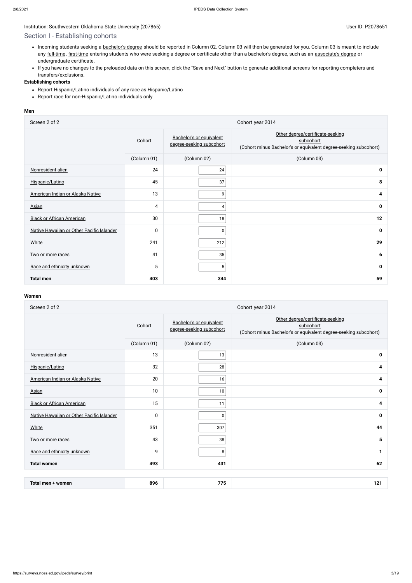a.

## Section I - Establishing cohorts

- Incoming students seeking a [bachelor's](javascript:openglossary(77)) degree should be reported in Column 02. Column 03 will then be generated for you. Column 03 is meant to include any [full-time](javascript:openglossary(259)), [first-time](javascript:openglossary(241)) entering students who were seeking a degree or certificate other than a bachelor's degree, such as an [associate's](javascript:openglossary(55)) degree or undergraduate certificate.
- If you have no changes to the preloaded data on this screen, click the "Save and Next" button to generate additional screens for reporting completers and transfers/exclusions.

- Report Hispanic/Latino individuals of any race as Hispanic/Latino
- Report race for non-Hispanic/Latino individuals only

### **Establishing cohorts**

#### **Men**

| Screen 2 of 2                             | Cohort year 2014 |                                                      |                                                                                                                   |  |  |
|-------------------------------------------|------------------|------------------------------------------------------|-------------------------------------------------------------------------------------------------------------------|--|--|
|                                           | Cohort           | Bachelor's or equivalent<br>degree-seeking subcohort | Other degree/certificate-seeking<br>subcohort<br>(Cohort minus Bachelor's or equivalent degree-seeking subcohort) |  |  |
|                                           | (Column 01)      | (Column 02)                                          | (Column 03)                                                                                                       |  |  |
| Nonresident alien                         | 24               | 24                                                   | $\mathbf 0$                                                                                                       |  |  |
| Hispanic/Latino                           | 45               | 37                                                   | 8                                                                                                                 |  |  |
| American Indian or Alaska Native          | 13               | 9                                                    | 4                                                                                                                 |  |  |
| <b>Asian</b>                              | 4                | 4                                                    | $\mathbf 0$                                                                                                       |  |  |
| <b>Black or African American</b>          | 30               | 18                                                   | 12                                                                                                                |  |  |
| Native Hawaiian or Other Pacific Islander | $\pmb{0}$        | 0                                                    | $\mathbf 0$                                                                                                       |  |  |
| <b>White</b>                              | 241              | 212                                                  | 29                                                                                                                |  |  |
| Two or more races                         | 41               | 35                                                   | 6                                                                                                                 |  |  |
| Race and ethnicity unknown                | 5                | 5 <sup>1</sup>                                       | $\mathbf 0$                                                                                                       |  |  |
| <b>Total men</b>                          | 403              | 344                                                  | 59                                                                                                                |  |  |

| Screen 2 of 2                             | Cohort year 2014 |                                                      |                                                                                                                   |  |  |
|-------------------------------------------|------------------|------------------------------------------------------|-------------------------------------------------------------------------------------------------------------------|--|--|
|                                           | Cohort           | Bachelor's or equivalent<br>degree-seeking subcohort | Other degree/certificate-seeking<br>subcohort<br>(Cohort minus Bachelor's or equivalent degree-seeking subcohort) |  |  |
|                                           | (Column 01)      | (Column 02)                                          | (Column 03)                                                                                                       |  |  |
| Nonresident alien                         | 13               | 13                                                   | $\mathbf 0$                                                                                                       |  |  |
| Hispanic/Latino                           | 32               | 28                                                   | 4                                                                                                                 |  |  |
| American Indian or Alaska Native          | 20               | 16                                                   | 4                                                                                                                 |  |  |
| <b>Asian</b>                              | 10               | 10                                                   | $\mathbf 0$                                                                                                       |  |  |
| <b>Black or African American</b>          | 15               | 11                                                   | 4                                                                                                                 |  |  |
| Native Hawaiian or Other Pacific Islander | $\mathbf 0$      | $\pmb{0}$                                            | $\mathbf 0$                                                                                                       |  |  |
| <b>White</b>                              | 351              | 307                                                  | 44                                                                                                                |  |  |
| Two or more races                         | 43               | 38                                                   | 5                                                                                                                 |  |  |
| Race and ethnicity unknown                | 9                | 8                                                    | 1                                                                                                                 |  |  |
| <b>Total women</b>                        | 493              | 431                                                  | 62                                                                                                                |  |  |
|                                           |                  |                                                      |                                                                                                                   |  |  |
| Total men + women                         | 896              | 775                                                  | 121                                                                                                               |  |  |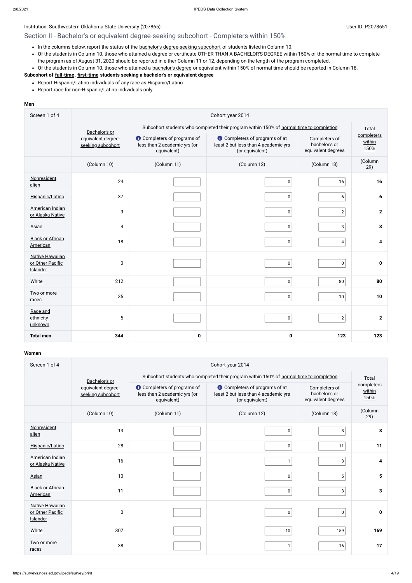## Section II - Bachelor's or equivalent degree-seeking subcohort - Completers within 150%

- In the columns below, report the status of the bachelor's [degree-seeking](javascript:openglossary(79)) subcohort of students listed in Column 10.
- Of the students in Column 10, those who attained a degree or certificate OTHER THAN A BACHELOR'S DEGREE within 150% of the normal time to complete the program as of August 31, 2020 should be reported in either Column 11 or 12, depending on the length of the program completed.
- Of the students in Column 10, those who attained a [bachelor's](javascript:openglossary(77)) degree or equivalent within 150% of normal time should be reported in Column 18.

- Report Hispanic/Latino individuals of any race as Hispanic/Latino
- Report race for non-Hispanic/Latino individuals only

## **Subcohort of [full-time](javascript:openglossary(259)), [first-time](javascript:openglossary(241)) students seeking a bachelor's or equivalent degree**

#### **Men**

| Screen 1 of 4                                          | Cohort year 2014                        |                                                                                   |                                                                                                  |                                                      |                              |  |  |
|--------------------------------------------------------|-----------------------------------------|-----------------------------------------------------------------------------------|--------------------------------------------------------------------------------------------------|------------------------------------------------------|------------------------------|--|--|
|                                                        | Bachelor's or                           |                                                                                   | Subcohort students who completed their program within 150% of normal time to completion          | Total                                                |                              |  |  |
|                                                        | equivalent degree-<br>seeking subcohort | <b>O</b> Completers of programs of<br>less than 2 academic yrs (or<br>equivalent) | <b>t</b> Completers of programs of at<br>least 2 but less than 4 academic yrs<br>(or equivalent) | Completers of<br>bachelor's or<br>equivalent degrees | completers<br>within<br>150% |  |  |
|                                                        | (Column 10)                             | (Column 11)                                                                       | (Column 12)                                                                                      | (Column 18)                                          | (Column<br>29)               |  |  |
| Nonresident<br>alien                                   | 24                                      |                                                                                   | $\pmb{0}$                                                                                        | 16                                                   | 16                           |  |  |
| Hispanic/Latino                                        | 37                                      |                                                                                   | $\pmb{0}$                                                                                        | 6                                                    | 6                            |  |  |
| American Indian<br>or Alaska Native                    | 9                                       |                                                                                   | $\pmb{0}$                                                                                        | $\mathbf{2}$                                         | $\mathbf{2}$                 |  |  |
| Asian                                                  | 4                                       |                                                                                   | $\pmb{0}$                                                                                        | $\mathbf{3}$                                         | $\mathbf{3}$                 |  |  |
| <b>Black or African</b><br>American                    | 18                                      |                                                                                   | $\pmb{0}$                                                                                        | $\overline{4}$                                       | 4                            |  |  |
| <b>Native Hawaiian</b><br>or Other Pacific<br>Islander | $\pmb{0}$                               |                                                                                   | $\pmb{0}$                                                                                        | $\mathbf 0$                                          | $\mathbf 0$                  |  |  |
| <b>White</b>                                           | 212                                     |                                                                                   | $\pmb{0}$                                                                                        | 80                                                   | 80                           |  |  |
| Two or more<br>races                                   | 35                                      |                                                                                   | $\pmb{0}$                                                                                        | 10                                                   | 10                           |  |  |
| Race and<br>ethnicity<br>unknown                       | 5                                       |                                                                                   | $\pmb{0}$                                                                                        | $\overline{2}$                                       | $\mathbf{2}$                 |  |  |
| <b>Total men</b>                                       | 344                                     | $\mathbf 0$                                                                       | $\pmb{0}$                                                                                        | 123                                                  | 123                          |  |  |

| Screen 1 of 4                                          | Cohort year 2014                        |                                                                                                                                                                                       |                                                                                         |                                                      |                              |  |  |
|--------------------------------------------------------|-----------------------------------------|---------------------------------------------------------------------------------------------------------------------------------------------------------------------------------------|-----------------------------------------------------------------------------------------|------------------------------------------------------|------------------------------|--|--|
|                                                        | Bachelor's or                           |                                                                                                                                                                                       | Subcohort students who completed their program within 150% of normal time to completion |                                                      |                              |  |  |
|                                                        | equivalent degree-<br>seeking subcohort | <b>O</b> Completers of programs of<br><b>O</b> Completers of programs of at<br>less than 2 academic yrs (or<br>least 2 but less than 4 academic yrs<br>(or equivalent)<br>equivalent) |                                                                                         | Completers of<br>bachelor's or<br>equivalent degrees | completers<br>within<br>150% |  |  |
|                                                        | (Column 10)                             | (Column 11)                                                                                                                                                                           | (Column 12)                                                                             | (Column 18)                                          | (Column<br>29)               |  |  |
| Nonresident<br>alien                                   | 13                                      |                                                                                                                                                                                       | 0                                                                                       | 8                                                    | 8                            |  |  |
| Hispanic/Latino                                        | 28                                      |                                                                                                                                                                                       | $\pmb{0}$                                                                               | 11                                                   | 11                           |  |  |
| American Indian<br>or Alaska Native                    | 16                                      |                                                                                                                                                                                       | $\mathbf{1}$                                                                            | 3                                                    | 4                            |  |  |
| Asian                                                  | 10                                      |                                                                                                                                                                                       | $\pmb{0}$                                                                               | 5 <sup>1</sup>                                       | 5                            |  |  |
| <b>Black or African</b><br>American                    | 11                                      |                                                                                                                                                                                       | $\pmb{0}$                                                                               | 3                                                    | 3                            |  |  |
| <b>Native Hawaiian</b><br>or Other Pacific<br>Islander | 0                                       |                                                                                                                                                                                       | $\pmb{0}$                                                                               | $\mathbf 0$                                          | 0                            |  |  |
| White                                                  | 307                                     |                                                                                                                                                                                       | 10                                                                                      | 159                                                  | 169                          |  |  |
| Two or more<br>races                                   | 38                                      |                                                                                                                                                                                       | $\mathbf{1}$                                                                            | 16                                                   | 17                           |  |  |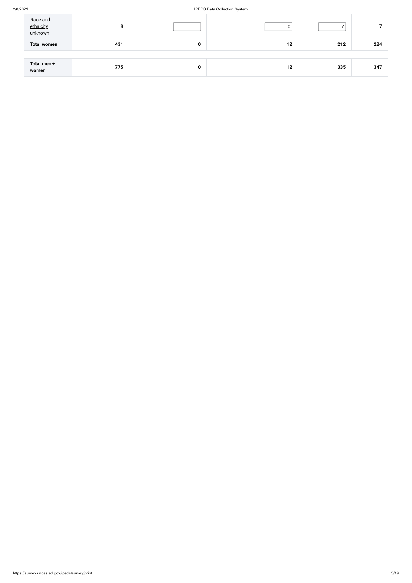#### 2/8/2021 IPEDS Data Collection System

| <b>Total women</b><br>431<br>212<br>12<br>$\mathbf 0$ | 224 |
|-------------------------------------------------------|-----|
|                                                       |     |
| Total men +<br>335<br>775<br>12<br>0<br>women         | 347 |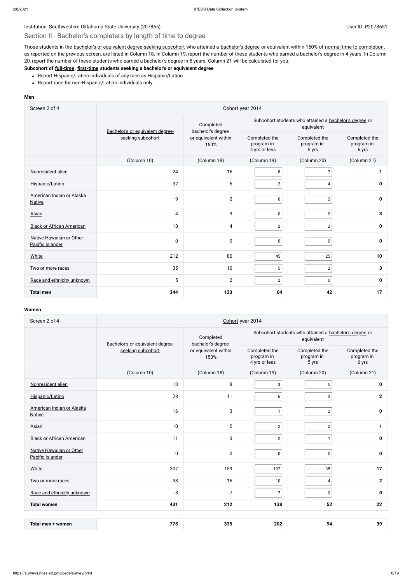## Section II - Bachelor's completers by length of time to degree

Those students in the bachelor's or equivalent [degree-seeking](javascript:openglossary(79)) subcohort who attained a [bachelor's](javascript:openglossary(77)) degree or equivalent within 150% of normal time to [completion](javascript:openglossary(421)), as reported on the previous screen, are listed in Column 18. In Column 19, report the number of these students who earned a bachelor's degree in 4 years. In Column 20, report the number of these students who earned a bachelor's degree in 5 years. Column 21 will be calculated for you.

- Report Hispanic/Latino individuals of any race as Hispanic/Latino
- Report race for non-Hispanic/Latino individuals only

### **Subcohort of [full-time](javascript:openglossary(259)), [first-time](javascript:openglossary(241)) students seeking a bachelor's or equivalent degree**

#### **Men**

| Screen 2 of 4                                | Cohort year 2014                 |                                |                                                                      |                                      |                                      |  |  |
|----------------------------------------------|----------------------------------|--------------------------------|----------------------------------------------------------------------|--------------------------------------|--------------------------------------|--|--|
|                                              | Bachelor's or equivalent degree- | Completed<br>bachelor's degree | Subcohort students who attained a bachelor's degree or<br>equivalent |                                      |                                      |  |  |
|                                              | seeking subcohort                | or equivalent within<br>150%   | Completed the<br>program in<br>4 yrs or less                         | Completed the<br>program in<br>5 yrs | Completed the<br>program in<br>6 yrs |  |  |
|                                              | (Column 10)                      | (Column 18)                    | (Column 19)                                                          | (Column 20)                          | (Column 21)                          |  |  |
| Nonresident alien                            | 24                               | 16                             | 8                                                                    | $\overline{7}$                       | 1                                    |  |  |
| Hispanic/Latino                              | 37                               | 6                              | $\mathbf{2}$                                                         | $\overline{4}$                       | $\mathbf 0$                          |  |  |
| American Indian or Alaska<br><b>Native</b>   | 9                                | $\mathbf{2}$                   | $\pmb{0}$                                                            | $\mathbf{2}$                         | $\mathbf 0$                          |  |  |
| Asian                                        | $\overline{4}$                   | 3                              | 0                                                                    | $\pmb{0}$                            | 3                                    |  |  |
| <b>Black or African American</b>             | 18                               | 4                              | $\mathbf{2}$                                                         | $\sqrt{2}$                           | 0                                    |  |  |
| Native Hawaiian or Other<br>Pacific Islander | $\pmb{0}$                        | $\boldsymbol{0}$               | 0                                                                    | $\pmb{0}$                            | $\mathbf 0$                          |  |  |
| White                                        | 212                              | 80                             | 45                                                                   | 25                                   | 10                                   |  |  |
| Two or more races                            | 35                               | 10                             | $5\,$                                                                | $\sqrt{2}$                           | 3                                    |  |  |
| Race and ethnicity unknown                   | 5                                | $\overline{2}$                 | $\overline{2}$                                                       | $\pmb{0}$                            | $\mathbf 0$                          |  |  |
| <b>Total men</b>                             | 344                              | 123                            | 64                                                                   | 42                                   | 17                                   |  |  |

| Screen 2 of 4                                | Cohort year 2014                 |                                |                                                                      |                                      |                |  |  |
|----------------------------------------------|----------------------------------|--------------------------------|----------------------------------------------------------------------|--------------------------------------|----------------|--|--|
|                                              | Bachelor's or equivalent degree- | Completed<br>bachelor's degree | Subcohort students who attained a bachelor's degree or<br>equivalent |                                      |                |  |  |
|                                              | seeking subcohort                | or equivalent within<br>150%   | Completed the<br>program in<br>4 yrs or less                         | Completed the<br>program in<br>5 yrs |                |  |  |
|                                              | (Column 10)                      | (Column 18)                    | (Column 19)                                                          | (Column 20)                          | (Column 21)    |  |  |
| Nonresident alien                            | 13                               | 8                              | $\mathbf{3}$                                                         | $\sqrt{5}$                           | 0              |  |  |
| Hispanic/Latino                              | 28                               | 11                             | $\boldsymbol{6}$                                                     | 3                                    | $\overline{2}$ |  |  |
| American Indian or Alaska<br><b>Native</b>   | 16                               | 3                              | $\mathbf{1}$                                                         | $\overline{2}$                       | 0              |  |  |
| Asian                                        | 10                               | 5                              | $\overline{2}$                                                       | $\overline{c}$                       | $\mathbf{1}$   |  |  |
| <b>Black or African American</b>             | 11                               | 3                              | $\overline{2}$                                                       | $\mathbf{1}$                         | 0              |  |  |
| Native Hawaiian or Other<br>Pacific Islander | $\pmb{0}$                        | $\pmb{0}$                      | $\pmb{0}$                                                            | 0                                    | 0              |  |  |
| <b>White</b>                                 | 307                              | 159                            | 107                                                                  | 35                                   | 17             |  |  |
| Two or more races                            | 38                               | 16                             | $10\,$                                                               | $\overline{\mathbf{4}}$              | $\overline{2}$ |  |  |
| Race and ethnicity unknown                   | 8                                | $\overline{7}$                 | $\overline{7}$                                                       | $\pmb{0}$                            | 0              |  |  |
| <b>Total women</b>                           | 431                              | 212                            | 138                                                                  | 52                                   | 22             |  |  |
|                                              |                                  |                                |                                                                      |                                      |                |  |  |
| Total men + women                            | 775                              | 335                            | 202                                                                  | 94                                   | 39             |  |  |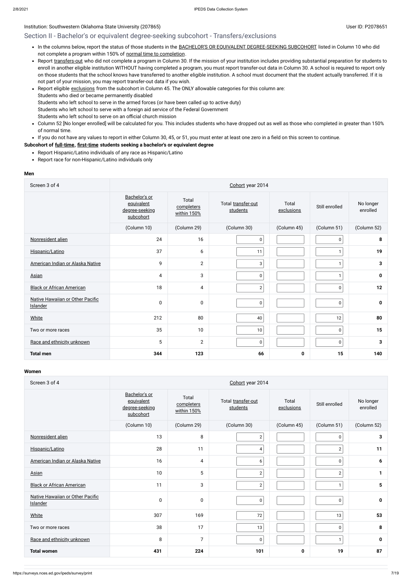## Section II - Bachelor's or equivalent degree-seeking subcohort - Transfers/exclusions

- . In the columns below, report the status of those students in the BACHELOR'S OR EQUIVALENT [DEGREE-SEEKING SUBCOHORT](javascript:openglossary(79)) listed in Column 10 who did not complete a program within 150% of normal time to [completion](javascript:openglossary(421)).
- Report [transfers-out](javascript:openglossary(657)) who did not complete a program in Column 30. If the mission of your institution includes providing substantial preparation for students to enroll in another eligible institution WITHOUT having completed a program, you must report transfer-out data in Column 30. A school is required to report only on those students that the school knows have transferred to another eligible institution. A school must document that the student actually transferred. If it is not part of your mission, you may report transfer-out data if you wish.
- Report eligible [exclusions](javascript:openglossary(207)) from the subcohort in Column 45. The ONLY allowable categories for this column are: Students who died or became permanently disabled Students who left school to serve in the armed forces (or have been called up to active duty) Students who left school to serve with a foreign aid service of the Federal Government Students who left school to serve on an official church mission
- Column 52 [No longer enrolled] will be calculated for you. This includes students who have dropped out as well as those who completed in greater than 150%  $\bullet$ of normal time.

If you do not have any values to report in either Column 30, 45, or 51, you must enter at least one zero in a field on this screen to continue.

#### **Subcohort of [full-time](javascript:openglossary(259)), [first-time](javascript:openglossary(241)) students seeking a bachelor's or equivalent degree**

- Report Hispanic/Latino individuals of any race as Hispanic/Latino
- Report race for non-Hispanic/Latino individuals only

#### **Men**

| Screen 3 of 4                                       | Cohort year 2014                                           |                                    |                                |                     |                |                       |
|-----------------------------------------------------|------------------------------------------------------------|------------------------------------|--------------------------------|---------------------|----------------|-----------------------|
|                                                     | Bachelor's or<br>equivalent<br>degree-seeking<br>subcohort | Total<br>completers<br>within 150% | Total transfer-out<br>students | Total<br>exclusions | Still enrolled | No longer<br>enrolled |
|                                                     | (Column 10)                                                | (Column 29)                        | (Column 30)                    | (Column 45)         | (Column 51)    | (Column 52)           |
| Nonresident alien                                   | 24                                                         | 16                                 | 0                              |                     | 0              | 8                     |
| Hispanic/Latino                                     | 37                                                         | 6                                  | 11                             |                     |                | 19                    |
| American Indian or Alaska Native                    | 9                                                          | $\overline{2}$                     | 3                              |                     |                | 3                     |
| Asian                                               | 4                                                          | 3                                  | 0                              |                     | 1              | $\mathbf 0$           |
| <b>Black or African American</b>                    | 18                                                         | 4                                  | $\mathbf{2}$                   |                     | $\pmb{0}$      | 12                    |
| Native Hawaiian or Other Pacific<br><b>Islander</b> | 0                                                          | $\boldsymbol{0}$                   | 0                              |                     | $\pmb{0}$      | 0                     |
| <b>White</b>                                        | 212                                                        | 80                                 | 40                             |                     | 12             | 80                    |
| Two or more races                                   | 35                                                         | 10                                 | 10                             |                     | 0              | 15                    |
| Race and ethnicity unknown                          | 5                                                          | $\mathbf{2}$                       | $\pmb{0}$                      |                     | $\pmb{0}$      | 3                     |
| <b>Total men</b>                                    | 344                                                        | 123                                | 66                             | $\mathbf 0$         | 15             | 140                   |

| Screen 3 of 4                                | Cohort year 2014                                           |                                    |                                |                     |                |                       |  |  |  |
|----------------------------------------------|------------------------------------------------------------|------------------------------------|--------------------------------|---------------------|----------------|-----------------------|--|--|--|
|                                              | Bachelor's or<br>equivalent<br>degree-seeking<br>subcohort | Total<br>completers<br>within 150% | Total transfer-out<br>students | Total<br>exclusions | Still enrolled | No longer<br>enrolled |  |  |  |
|                                              | (Column 10)                                                | (Column 29)                        | (Column 30)                    | (Column 45)         | (Column 51)    | (Column 52)           |  |  |  |
| Nonresident alien                            | 13                                                         | 8                                  | $\sqrt{2}$                     |                     | $\pmb{0}$      | $\mathbf{3}$          |  |  |  |
| Hispanic/Latino                              | 28                                                         | 11                                 | 4                              |                     | $\overline{2}$ | 11                    |  |  |  |
| American Indian or Alaska Native             | 16                                                         | 4                                  | $\boldsymbol{6}$               |                     | 0              | 6                     |  |  |  |
| Asian                                        | 10                                                         | 5                                  | $\mathbf{2}$                   |                     | $\mathbf{2}$   | 1                     |  |  |  |
| <b>Black or African American</b>             | 11                                                         | 3                                  | $\mathbf{2}$                   |                     | 1              | 5                     |  |  |  |
| Native Hawaiian or Other Pacific<br>Islander | 0                                                          | $\pmb{0}$                          | $\pmb{0}$                      |                     | $\pmb{0}$      | $\mathbf 0$           |  |  |  |
| <b>White</b>                                 | 307                                                        | 169                                | 72                             |                     | 13             | 53                    |  |  |  |
| Two or more races                            | 38                                                         | 17                                 | 13                             |                     | $\pmb{0}$      | 8                     |  |  |  |
| Race and ethnicity unknown                   | 8                                                          | $\overline{7}$                     | $\pmb{0}$                      |                     | 1              | $\mathbf 0$           |  |  |  |
| <b>Total women</b>                           | 431                                                        | 224                                | 101                            | $\mathbf 0$         | 19             | 87                    |  |  |  |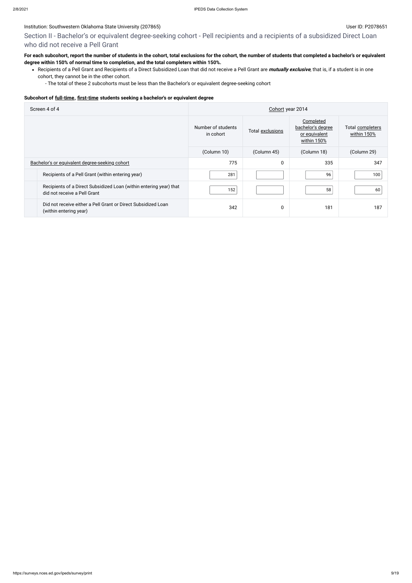## Section II - Bachelor's or equivalent degree-seeking cohort - Pell recipients and a recipients of a subsidized Direct Loan who did not receive a Pell Grant

## **For each subcohort, report the number of students in the cohort, total exclusions for the cohort, the number of students that completed a bachelor's or equivalent degree within 150% of normal time to completion, and the total completers within 150%.**

Recipients of a Pell Grant and Recipients of a Direct Subsidized Loan that did not receive a Pell Grant are **mutually exclusive**, that is, if a student is in one cohort, they cannot be in the other cohort.

- The total of these 2 subcohorts must be less than the Bachelor's or equivalent degree-seeking cohort

#### **Subcohort of [full-time](javascript:openglossary(259)), [first-time](javascript:openglossary(241)) students seeking a bachelor's or equivalent degree**

| Screen 4 of 4                                                                                      | Cohort year 2014                |                  |                                                                |                                 |  |
|----------------------------------------------------------------------------------------------------|---------------------------------|------------------|----------------------------------------------------------------|---------------------------------|--|
|                                                                                                    | Number of students<br>in cohort | Total exclusions | Completed<br>bachelor's degree<br>or equivalent<br>within 150% | Total completers<br>within 150% |  |
|                                                                                                    | (Column 10)                     | (Column 45)      | (Column 18)                                                    | (Column 29)                     |  |
| Bachelor's or equivalent degree-seeking cohort                                                     | 775                             | 0                | 335                                                            | 347                             |  |
| Recipients of a Pell Grant (within entering year)                                                  | 281                             |                  | 96                                                             | 100                             |  |
| Recipients of a Direct Subsidized Loan (within entering year) that<br>did not receive a Pell Grant | 152                             |                  | 58                                                             | 60                              |  |
| Did not receive either a Pell Grant or Direct Subsidized Loan<br>(within entering year)            | 342                             | 0                | 181                                                            | 187                             |  |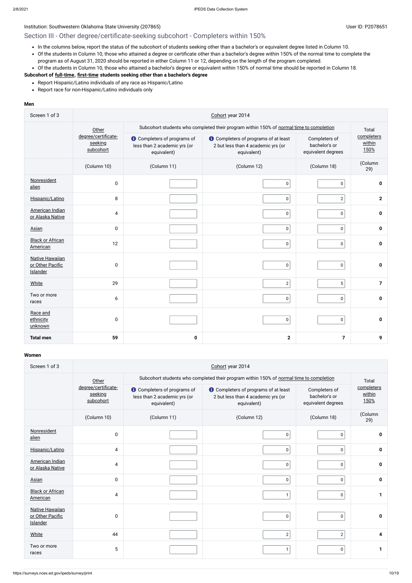## Institution: Southwestern Oklahoma State University (207865) Contract the Contract of Contract Contract of Contract Contract Contract Contract Contract Contract Contract Contract Contract Contract Contract Contract Contrac

## Section III - Other degree/certificate-seeking subcohort - Completers within 150%

- In the columns below, report the status of the subcohort of students seeking other than a bachelor's or equivalent degree listed in Column 10.
- Of the students in Column 10, those who attained a degree or certificate other than a bachelor's degree within 150% of the normal time to complete the program as of August 31, 2020 should be reported in either Column 11 or 12, depending on the length of the program completed.
- Of the students in Column 10, those who attained a bachelor's degree or equivalent within 150% of normal time should be reported in Column 18.

- Report Hispanic/Latino individuals of any race as Hispanic/Latino
- Report race for non-Hispanic/Latino individuals only

## **Subcohort of [full-time](javascript:openglossary(259)), [first-time](javascript:openglossary(241)) students seeking other than a bachelor's degree**

#### **Men**

| Screen 1 of 3                                          | Cohort year 2014                            |                                                                                         |                                                                                                  |                                                      |                              |  |  |
|--------------------------------------------------------|---------------------------------------------|-----------------------------------------------------------------------------------------|--------------------------------------------------------------------------------------------------|------------------------------------------------------|------------------------------|--|--|
|                                                        | Other                                       | Subcohort students who completed their program within 150% of normal time to completion |                                                                                                  |                                                      |                              |  |  |
|                                                        | degree/certificate-<br>seeking<br>subcohort | <b>O</b> Completers of programs of<br>less than 2 academic yrs (or<br>equivalent)       | <b>t</b> Completers of programs of at least<br>2 but less than 4 academic yrs (or<br>equivalent) | Completers of<br>bachelor's or<br>equivalent degrees | completers<br>within<br>150% |  |  |
|                                                        | (Column 10)                                 | (Column 11)                                                                             | (Column 12)                                                                                      | (Column 18)                                          | (Column<br>29)               |  |  |
| Nonresident<br>alien                                   | $\pmb{0}$                                   |                                                                                         | $\mathbf 0$                                                                                      | $\pmb{0}$                                            | $\mathbf 0$                  |  |  |
| Hispanic/Latino                                        | 8                                           |                                                                                         | $\pmb{0}$                                                                                        | $\overline{2}$                                       | $\mathbf{2}$                 |  |  |
| American Indian<br>or Alaska Native                    | $\overline{4}$                              |                                                                                         | $\overline{0}$                                                                                   | $\mathbf 0$                                          | $\mathbf 0$                  |  |  |
| Asian                                                  | $\pmb{0}$                                   |                                                                                         | $\overline{0}$                                                                                   | $\mathbf 0$                                          | $\mathbf 0$                  |  |  |
| <b>Black or African</b><br>American                    | 12                                          |                                                                                         | 0 <sup>1</sup>                                                                                   | $\pmb{0}$                                            | $\mathbf 0$                  |  |  |
| <b>Native Hawaiian</b><br>or Other Pacific<br>Islander | $\pmb{0}$                                   |                                                                                         | $\mathbf 0$                                                                                      | $\mathbf 0$                                          | $\pmb{0}$                    |  |  |
| <b>White</b>                                           | 29                                          |                                                                                         | $\mathbf{2}$                                                                                     | 5                                                    | $\overline{7}$               |  |  |
| Two or more<br>races                                   | 6                                           |                                                                                         | $\overline{0}$                                                                                   | $\mathbf 0$                                          | $\mathbf 0$                  |  |  |
| Race and<br>ethnicity<br>unknown                       | $\pmb{0}$                                   |                                                                                         | $\mathbf 0$                                                                                      | $\mathbf 0$                                          | 0                            |  |  |
| <b>Total men</b>                                       | 59                                          | $\mathbf 0$                                                                             | $\mathbf{2}$                                                                                     | $\overline{7}$                                       | 9                            |  |  |

| Screen 1 of 3                                   | Cohort year 2014                            |                                                                                   |                                                                                                  |                                                      |                              |  |  |
|-------------------------------------------------|---------------------------------------------|-----------------------------------------------------------------------------------|--------------------------------------------------------------------------------------------------|------------------------------------------------------|------------------------------|--|--|
|                                                 | Other                                       |                                                                                   | Subcohort students who completed their program within 150% of normal time to completion          |                                                      | Total                        |  |  |
|                                                 | degree/certificate-<br>seeking<br>subcohort | <b>O</b> Completers of programs of<br>less than 2 academic yrs (or<br>equivalent) | <b>O</b> Completers of programs of at least<br>2 but less than 4 academic yrs (or<br>equivalent) | Completers of<br>bachelor's or<br>equivalent degrees | completers<br>within<br>150% |  |  |
|                                                 | (Column 10)                                 | (Column 11)                                                                       | (Column 12)                                                                                      | (Column 18)                                          | (Column<br>29)               |  |  |
| Nonresident<br>alien                            | $\mathbf 0$                                 |                                                                                   | 0                                                                                                | 0                                                    | $\mathbf{0}$                 |  |  |
| Hispanic/Latino                                 | $\overline{4}$                              |                                                                                   | $\pmb{0}$                                                                                        | $\pmb{0}$                                            | $\mathbf 0$                  |  |  |
| <b>American Indian</b><br>or Alaska Native      | 4                                           |                                                                                   | 0                                                                                                | $\mathbf 0$                                          | 0                            |  |  |
| <b>Asian</b>                                    | $\mathbf 0$                                 |                                                                                   | 0                                                                                                | 0                                                    | 0                            |  |  |
| <b>Black or African</b><br><b>American</b>      | 4                                           |                                                                                   | $\mathbf{1}$                                                                                     | 0                                                    |                              |  |  |
| Native Hawaiian<br>or Other Pacific<br>Islander | 0                                           |                                                                                   | 0                                                                                                | $\mathbf 0$                                          | $\mathbf{0}$                 |  |  |
| White                                           | 44                                          |                                                                                   | $\overline{2}$                                                                                   | $\mathbf{2}$                                         | 4                            |  |  |
| Two or more<br>races                            | 5                                           |                                                                                   | $\mathbf{1}$                                                                                     | 0                                                    |                              |  |  |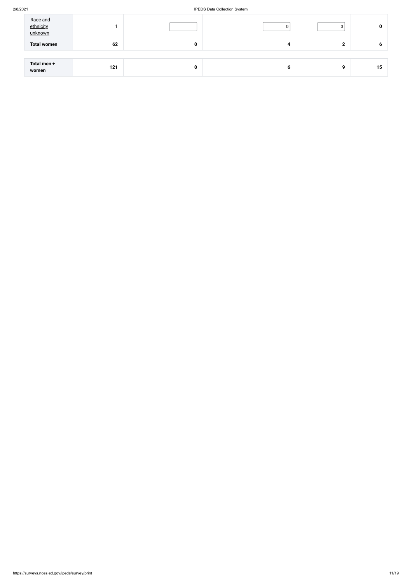#### 2/8/2021 IPEDS Data Collection System

| Race and<br>ethnicity<br>unknown |     |   |   | 0 |    |
|----------------------------------|-----|---|---|---|----|
| <b>Total women</b>               | 62  | 0 | 4 |   | o  |
|                                  |     |   |   |   |    |
| Total men +<br>women             | 121 | 0 | O | Ω | 15 |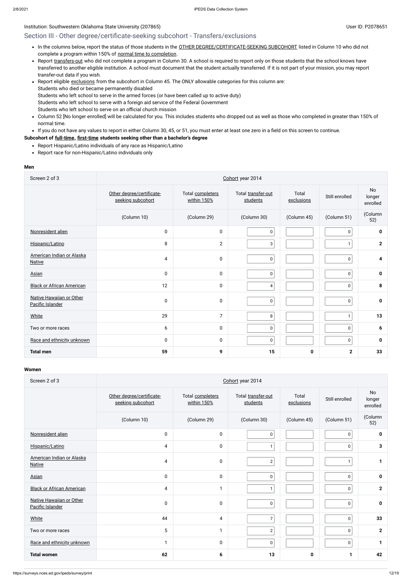## Section III - Other degree/certificate-seeking subcohort - Transfers/exclusions

- . In the columns below, report the status of those students in the OTHER [DEGREE/CERTIFICATE-SEEKING SUBCOHORT](javascript:openglossary(441)) listed in Column 10 who did not complete a program within 150% of normal time to [completion](javascript:openglossary(421)).
- Report [transfers-out](javascript:openglossary(657)) who did not complete a program in Column 30. A school is required to report only on those students that the school knows have transferred to another eligible institution. A school must document that the student actually transferred. If it is not part of your mission, you may report transfer-out data if you wish.
- Report eligible [exclusions](javascript:openglossary(207)) from the subcohort in Column 45. The ONLY allowable categories for this column are: Students who died or became permanently disabled Students who left school to serve in the armed forces (or have been called up to active duty) Students who left school to serve with a foreign aid service of the Federal Government Students who left school to serve on an official church mission
- Column 52 [No longer enrolled] will be calculated for you. This includes students who dropped out as well as those who completed in greater than 150% of normal time.
- If you do not have any values to report in either Column 30, 45, or 51, you must enter at least one zero in a field on this screen to continue.

- Report Hispanic/Latino individuals of any race as Hispanic/Latino
- Report race for non-Hispanic/Latino individuals only

#### **Subcohort of [full-time](javascript:openglossary(259)), [first-time](javascript:openglossary(241)) students seeking other than a bachelor's degree**

#### **Men**

| Screen 2 of 3                                | Cohort year 2014                               |                                 |                                |                     |                |                          |  |  |  |
|----------------------------------------------|------------------------------------------------|---------------------------------|--------------------------------|---------------------|----------------|--------------------------|--|--|--|
|                                              | Other degree/certificate-<br>seeking subcohort | Total completers<br>within 150% | Total transfer-out<br>students | Total<br>exclusions | Still enrolled | No<br>longer<br>enrolled |  |  |  |
|                                              | (Column 10)                                    | (Column 29)                     | (Column 30)                    | (Column 45)         | (Column 51)    | (Column<br>52)           |  |  |  |
| Nonresident alien                            | $\mathbf 0$                                    | $\pmb{0}$                       | $\pmb{0}$                      |                     | $\mathbf 0$    | $\mathbf 0$              |  |  |  |
| Hispanic/Latino                              | 8                                              | $\overline{2}$                  | $\mathbf{3}$                   |                     | $\mathbf{1}$   | $\mathbf{2}$             |  |  |  |
| American Indian or Alaska<br><b>Native</b>   | 4                                              | $\pmb{0}$                       | $\pmb{0}$                      |                     | $\mathbf 0$    | 4                        |  |  |  |
| Asian                                        | $\mathbf 0$                                    | $\pmb{0}$                       | $\mathbf 0$                    |                     | 0              | $\mathbf 0$              |  |  |  |
| <b>Black or African American</b>             | 12                                             | 0                               | 4                              |                     | $\pmb{0}$      | 8                        |  |  |  |
| Native Hawaiian or Other<br>Pacific Islander | $\mathbf 0$                                    | $\pmb{0}$                       | $\mathbf 0$                    |                     | $\mathbf 0$    | $\mathbf 0$              |  |  |  |
| White                                        | 29                                             | $\overline{7}$                  | $\,8\,$                        |                     | $\mathbf{1}$   | 13                       |  |  |  |
| Two or more races                            | 6                                              | 0                               | $\mathbf 0$                    |                     | 0              | 6                        |  |  |  |
| Race and ethnicity unknown                   | $\mathbf 0$                                    | $\pmb{0}$                       | $\pmb{0}$                      |                     | 0              | 0                        |  |  |  |
| <b>Total men</b>                             | 59                                             | 9                               | 15                             | 0                   | $\mathbf 2$    | 33                       |  |  |  |

| Screen 2 of 3                                | Cohort year 2014                               |                                 |                                |                     |                |                                 |  |  |
|----------------------------------------------|------------------------------------------------|---------------------------------|--------------------------------|---------------------|----------------|---------------------------------|--|--|
|                                              | Other degree/certificate-<br>seeking subcohort | Total completers<br>within 150% | Total transfer-out<br>students | Total<br>exclusions | Still enrolled | <b>No</b><br>longer<br>enrolled |  |  |
|                                              | (Column 10)                                    | (Column 29)                     | (Column 30)                    | (Column 45)         | (Column 51)    | (Column<br>52)                  |  |  |
| Nonresident alien                            | $\mathbf 0$                                    | $\mathbf 0$                     | $\mathbf 0$                    |                     | 0              | 0                               |  |  |
| Hispanic/Latino                              | 4                                              | $\pmb{0}$                       | $\mathbf{1}$                   |                     | 0              | 3                               |  |  |
| American Indian or Alaska<br><b>Native</b>   | 4                                              | $\pmb{0}$                       | $\overline{2}$                 |                     |                |                                 |  |  |
| Asian                                        | $\mathbf 0$                                    | $\mathbf 0$                     | $\mathbf 0$                    |                     | $\mathbf{0}$   | $\mathbf 0$                     |  |  |
| <b>Black or African American</b>             | 4                                              | $\mathbf{1}$                    | $\mathbf{1}$                   |                     | $\pmb{0}$      | $\mathbf{2}$                    |  |  |
| Native Hawaiian or Other<br>Pacific Islander | $\mathbf 0$                                    | 0                               | $\mathbf 0$                    |                     | 0              | $\mathbf 0$                     |  |  |
| White                                        | 44                                             | $\overline{4}$                  | $\overline{7}$                 |                     | 0              | 33                              |  |  |
| Two or more races                            | 5                                              | $\mathbf{1}$                    | $\overline{2}$                 |                     | 0              | $\mathbf{2}$                    |  |  |
| Race and ethnicity unknown                   | -1                                             | $\mathbf 0$                     | $\pmb{0}$                      |                     | 0              |                                 |  |  |
| <b>Total women</b>                           | 62                                             | 6                               | 13                             | $\pmb{0}$           | 1              | 42                              |  |  |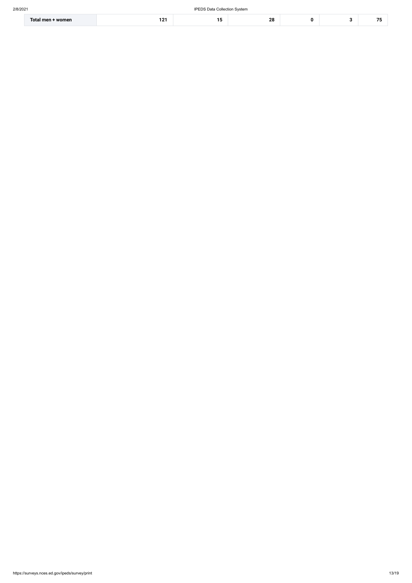| Total men ·<br>+ women | $\ddot{\phantom{1}}$<br>- - |  | ററ<br>, 0<br>-- |  |  |  |
|------------------------|-----------------------------|--|-----------------|--|--|--|
|------------------------|-----------------------------|--|-----------------|--|--|--|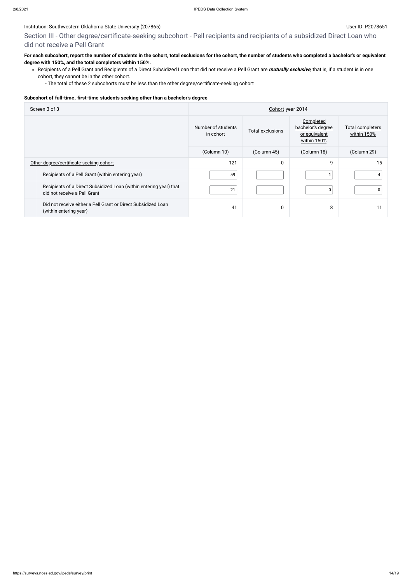### Institution: Southwestern Oklahoma State University (207865) Contract the Contract of Contract Contract of Contract Contract Contract Contract Contract Contract Contract Contract Contract Contract Contract Contract Contrac

Section III - Other degree/certificate-seeking subcohort - Pell recipients and recipients of a subsidized Direct Loan who did not receive a Pell Grant

## **For each subcohort, report the number of students in the cohort, total exclusions for the cohort, the number of students who completed a bachelor's or equivalent degree with 150%, and the total completers within 150%.**

Recipients of a Pell Grant and Recipients of a Direct Subsidized Loan that did not receive a Pell Grant are **mutually exclusive**, that is, if a student is in one cohort, they cannot be in the other cohort.

- The total of these 2 subcohorts must be less than the other degree/certificate-seeking cohort

#### **Subcohort of [full-time](javascript:openglossary(259)), [first-time](javascript:openglossary(241)) students seeking other than a bachelor's degree**

| Screen 3 of 3                                                                                      | Cohort year 2014                |                  |                                                                |                                 |  |
|----------------------------------------------------------------------------------------------------|---------------------------------|------------------|----------------------------------------------------------------|---------------------------------|--|
|                                                                                                    | Number of students<br>in cohort | Total exclusions | Completed<br>bachelor's degree<br>or equivalent<br>within 150% | Total completers<br>within 150% |  |
|                                                                                                    | (Column 10)                     | (Column 45)      | (Column 18)                                                    | (Column 29)                     |  |
| Other degree/certificate-seeking cohort                                                            | 121                             | 0                | 9                                                              | 15                              |  |
| Recipients of a Pell Grant (within entering year)                                                  | 59                              |                  |                                                                |                                 |  |
| Recipients of a Direct Subsidized Loan (within entering year) that<br>did not receive a Pell Grant | 21                              |                  | 0                                                              |                                 |  |
| Did not receive either a Pell Grant or Direct Subsidized Loan<br>(within entering year)            | 41                              | 0                | 8                                                              |                                 |  |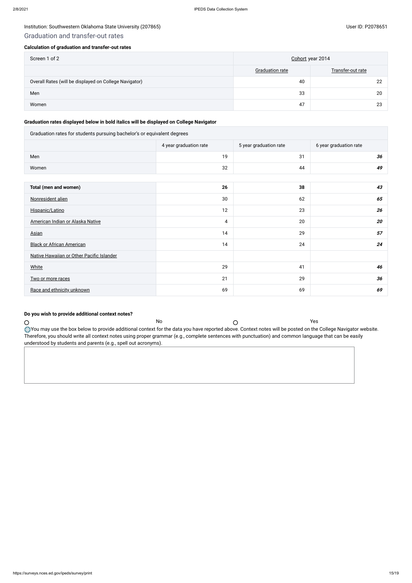## Graduation and transfer-out rates

#### **Calculation of graduation and transfer-out rates**

| Screen 1 of 2                                          | Cohort year 2014       |                   |  |
|--------------------------------------------------------|------------------------|-------------------|--|
|                                                        | <b>Graduation rate</b> | Transfer-out rate |  |
| Overall Rates (will be displayed on College Navigator) | 40                     | 22                |  |
| Men                                                    | 33                     | 20                |  |
| Women                                                  | 47                     | 23                |  |

## **Graduation rates displayed below in bold italics will be displayed on College Navigator**

| Graduation rates for students pursuing bachelor's or equivalent degrees |                        |                        |                        |  |  |  |  |
|-------------------------------------------------------------------------|------------------------|------------------------|------------------------|--|--|--|--|
|                                                                         | 4 year graduation rate | 5 year graduation rate | 6 year graduation rate |  |  |  |  |
| Men                                                                     | 19                     | 31                     | 36                     |  |  |  |  |
| Women                                                                   | 32                     | 44                     | 49                     |  |  |  |  |
|                                                                         |                        |                        |                        |  |  |  |  |
| Total (men and women)                                                   | 26                     | 38                     | 43                     |  |  |  |  |
| Nonresident alien                                                       | 30                     | 62                     | 65                     |  |  |  |  |
| Hispanic/Latino                                                         | 12                     | 23                     | 26                     |  |  |  |  |
| American Indian or Alaska Native                                        | 4                      | 20                     | 20                     |  |  |  |  |
| Asian                                                                   | 14                     | 29                     | 57                     |  |  |  |  |
| <b>Black or African American</b>                                        | 14                     | 24                     | 24                     |  |  |  |  |
| Native Hawaiian or Other Pacific Islander                               |                        |                        |                        |  |  |  |  |
| <b>White</b>                                                            | 29                     | 41                     | 46                     |  |  |  |  |
| Two or more races                                                       | 21                     | 29                     | 36                     |  |  |  |  |
| Race and ethnicity unknown                                              | 69                     | 69                     | 69                     |  |  |  |  |

## **Do you wish to provide additional context notes?**

Therefore, you should write all context notes using proper grammar (e.g., complete sentences with punctuation) and common language that can be easily

No  $\bigcirc$ 

understood by students and parents (e.g., spell out acronyms).

 $\bigcirc$ 

You may use the box below to provide additional context for the data you have reported above. Context notes will be posted on the College Navigator website.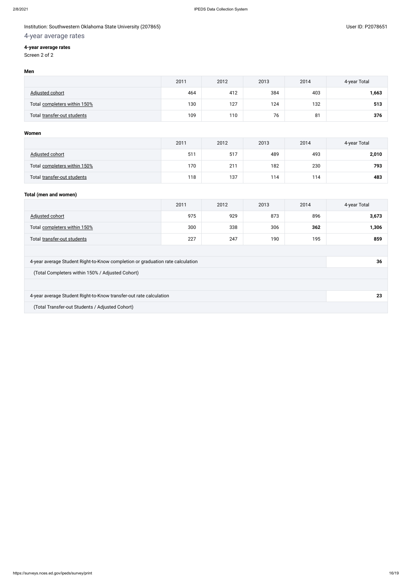## 4-year average rates

## **4-year average rates**

Screen 2 of 2

#### **Men**

|                              | 2011 | 2012 | 2013 | 2014 | 4-year Total |
|------------------------------|------|------|------|------|--------------|
| Adjusted cohort              | 464  | 412  | 384  | 403  | 1,663        |
| Total completers within 150% | 130  | 127  | 124  | 132  | 513          |
| Total transfer-out students  | 109  | 110  | 76   | 81   | 376          |

#### **Women**

|                              | 2011 | 2012 | 2013 | 2014 | 4-year Total |
|------------------------------|------|------|------|------|--------------|
| Adjusted cohort              | 511  | 517  | 489  | 493  | 2,010        |
| Total completers within 150% | 170  | 211  | 182  | 230  | 793          |
| Total transfer-out students  | 118  | 137  | 114  | 114  | 483          |

## **Total (men and women)**

|                                                                                | 2011 | 2012 | 2013 | 2014 | 4-year Total |
|--------------------------------------------------------------------------------|------|------|------|------|--------------|
| Adjusted cohort                                                                | 975  | 929  | 873  | 896  | 3,673        |
| Total completers within 150%                                                   | 300  | 338  | 306  | 362  | 1,306        |
| Total transfer-out students                                                    | 227  | 247  | 190  | 195  | 859          |
|                                                                                |      |      |      |      |              |
| 4-year average Student Right-to-Know completion or graduation rate calculation |      |      |      |      | 36           |
| (Total Completers within 150% / Adjusted Cohort)                               |      |      |      |      |              |
|                                                                                |      |      |      |      |              |
| 4-year average Student Right-to-Know transfer-out rate calculation             |      |      |      | 23   |              |
| (Total Transfer-out Students / Adjusted Cohort)                                |      |      |      |      |              |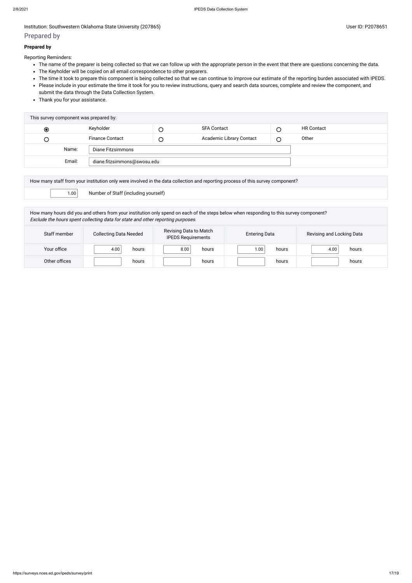#### Institution: Southwestern Oklahoma State University (207865) Contract the Contract of Contract Contract of Contract Contract Contract Contract Contract Contract Contract Contract Contract Contract Contract Contract Contrac

## Prepared by

#### **Prepared by**

Reporting Reminders:

- The name of the preparer is being collected so that we can follow up with the appropriate person in the event that there are questions concerning the data.
- The Keyholder will be copied on all email correspondence to other preparers.
- The time it took to prepare this component is being collected so that we can continue to improve our estimate of the reporting burden associated with IPEDS.
- Please include in your estimate the time it took for you to review instructions, query and search data sources, complete and review the component, and submit the data through the Data Collection System.
- Thank you for your assistance.

|           |        | This survey component was prepared by: |        |                          |   |                   |
|-----------|--------|----------------------------------------|--------|--------------------------|---|-------------------|
| $\bullet$ |        | Keyholder                              |        | <b>SFA Contact</b>       |   | <b>HR Contact</b> |
| U         |        | <b>Finance Contact</b>                 | $\cup$ | Academic Library Contact | ∩ | Other             |
|           | Name:  | Diane Fitzsimmons                      |        |                          |   |                   |
|           | Email: | diane.fitzsimmons@swosu.edu            |        |                          |   |                   |
|           |        |                                        |        |                          |   |                   |

| How many staff from your institution only were involved in the data collection and reporting process of this survey component? |  |  |  |
|--------------------------------------------------------------------------------------------------------------------------------|--|--|--|
| $\begin{bmatrix} 1.00 \end{bmatrix}$<br>Number of Staff (including yourself)                                                   |  |  |  |

How many hours did you and others from your institution only spend on each of the steps below when responding to this survey component? Exclude the hours spent collecting data for state and other reporting purposes.

| Staff member  | <b>Collecting Data Needed</b> | Revising Data to Match<br><b>IPEDS Requirements</b> | <b>Entering Data</b> | Revising and Locking Data |
|---------------|-------------------------------|-----------------------------------------------------|----------------------|---------------------------|
| Your office   | 4.00<br>hours                 | 8.00<br>hours                                       | 1.00<br>hours        | 4.00<br>hours             |
| Other offices | hours                         | hours                                               | hours                | hours                     |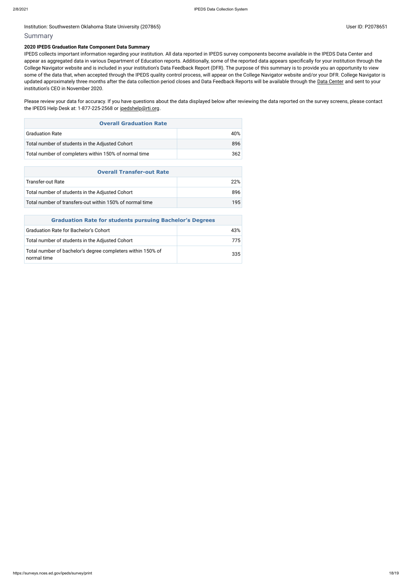#### Institution: Southwestern Oklahoma State University (207865) Contract the Contract of Contract Contract of Contract Contract Contract Oklahoma State University (207865)

#### Summary

#### **2020 IPEDS Graduation Rate Component Data Summary**

Please review your data for accuracy. If you have questions about the data displayed below after reviewing the data reported on the survey screens, please contact the IPEDS Help Desk at: 1-877-225-2568 or [ipedshelp@rti.org](mailto:ipedshelp@rti.org).

IPEDS collects important information regarding your institution. All data reported in IPEDS survey components become available in the IPEDS Data Center and appear as aggregated data in various Department of Education reports. Additionally, some of the reported data appears specifically for your institution through the College Navigator website and is included in your institution's Data Feedback Report (DFR). The purpose of this summary is to provide you an opportunity to view some of the data that, when accepted through the IPEDS quality control process, will appear on the College Navigator website and/or your DFR. College Navigator is updated approximately three months after the data collection period closes and Data Feedback Reports will be available through the Data [Center](https://nces.ed.gov/ipeds/use-the-data) and sent to your institution's CEO in November 2020.

| <b>Overall Graduation Rate</b>                        |      |  |
|-------------------------------------------------------|------|--|
| <b>Graduation Rate</b>                                | 40%  |  |
| Total number of students in the Adjusted Cohort       | 896  |  |
| Total number of completers within 150% of normal time | 362. |  |

| <b>Overall Transfer-out Rate</b>                         |      |  |
|----------------------------------------------------------|------|--|
| Transfer-out Rate                                        | 22%  |  |
| Total number of students in the Adjusted Cohort          | 896. |  |
| Total number of transfers-out within 150% of normal time | 195  |  |

| <b>Graduation Rate for students pursuing Bachelor's Degrees</b>            |     |  |  |
|----------------------------------------------------------------------------|-----|--|--|
| <b>Graduation Rate for Bachelor's Cohort</b>                               | 43% |  |  |
| Total number of students in the Adjusted Cohort                            | 775 |  |  |
| Total number of bachelor's degree completers within 150% of<br>normal time | 335 |  |  |